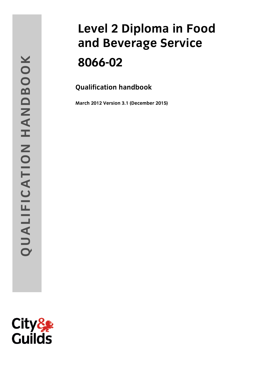# and **Beverage Service and Beverage Service**

**Qualification handbook**

**( )**

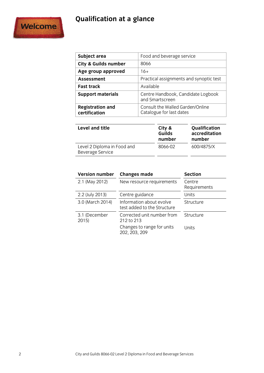## **Qualification at a glance**



| Subject area                             | Food and beverage service                                    |
|------------------------------------------|--------------------------------------------------------------|
| <b>City &amp; Guilds number</b>          | 8066                                                         |
| Age group approved                       | $16+$                                                        |
| <b>Assessment</b>                        | Practical assignments and synoptic test                      |
| <b>Fast track</b>                        | Available                                                    |
| <b>Support materials</b>                 | Centre Handbook, Candidate Logbook<br>and Smartscreen        |
| <b>Registration and</b><br>certification | Consult the Walled Garden/Online<br>Catalogue for last dates |

| <b>Guilds</b><br>number | Qualification<br>accreditation<br>number |
|-------------------------|------------------------------------------|
| 8066-02                 | 600/4875/X                               |
|                         | City &                                   |

| <b>Version number</b> | <b>Changes made</b>                                     | <b>Section</b>         |
|-----------------------|---------------------------------------------------------|------------------------|
| 2.1 (May 2012)        | New resource requirements                               | Centre<br>Requirements |
| 2.2 (July 2013)       | Centre guidance                                         | Units                  |
| 3.0 (March 2014)      | Information about evolve<br>test added to the Structure | Structure              |
| 3.1 (December<br>2015 | Corrected unit number from<br>212 to 213                | Structure              |
|                       | Changes to range for units<br>202, 203, 209             | Units                  |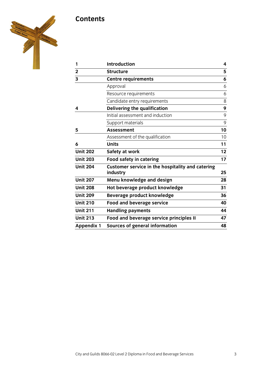### **Contents**



| 1                       | <b>Introduction</b>                                          | 4               |
|-------------------------|--------------------------------------------------------------|-----------------|
| $\mathbf{2}$            | <b>Structure</b>                                             | 5               |
| $\overline{\mathbf{3}}$ | <b>Centre requirements</b>                                   | 6               |
|                         | Approval                                                     | 6               |
|                         | Resource requirements                                        | 6               |
|                         | Candidate entry requirements                                 | 8               |
| 4                       | Delivering the qualification                                 | 9               |
|                         | Initial assessment and induction                             | 9               |
|                         | Support materials                                            | 9               |
| 5                       | <b>Assessment</b>                                            | 10              |
|                         | Assessment of the qualification                              | 10              |
| 6                       | <b>Units</b>                                                 | 11              |
| <b>Unit 202</b>         | Safety at work                                               | 12 <sub>2</sub> |
| <b>Unit 203</b>         | <b>Food safety in catering</b>                               | 17              |
| <b>Unit 204</b>         | Customer service in the hospitality and catering<br>industry | 25              |
| <b>Unit 207</b>         | Menu knowledge and design                                    | 28              |
| <b>Unit 208</b>         | Hot beverage product knowledge                               | 31              |
| <b>Unit 209</b>         | Beverage product knowledge                                   | 36              |
| <b>Unit 210</b>         | <b>Food and beverage service</b>                             | 40              |
| <b>Unit 211</b>         | <b>Handling payments</b>                                     | 44              |
| <b>Unit 213</b>         | Food and beverage service principles II                      | 47              |
| <b>Appendix 1</b>       | <b>Sources of general information</b>                        | 48              |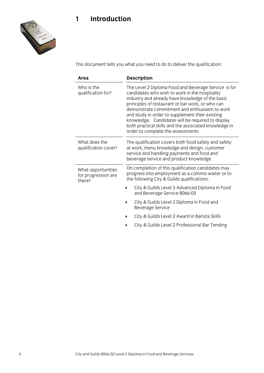

This document tells you what you need to do to deliver the qualification:

| Area                                                |                                                                                                                                                                                              | <b>Description</b>                                                                                                                                                                                                                                                                                                                                                                                                                                                    |
|-----------------------------------------------------|----------------------------------------------------------------------------------------------------------------------------------------------------------------------------------------------|-----------------------------------------------------------------------------------------------------------------------------------------------------------------------------------------------------------------------------------------------------------------------------------------------------------------------------------------------------------------------------------------------------------------------------------------------------------------------|
| Who is the<br>qualification for?                    |                                                                                                                                                                                              | The Level 2 Diploma Food and Beverage Service is for<br>candidates who wish to work in the hospitality<br>industry and already have knowledge of the basic<br>principles of restaurant or bar work, or who can<br>demonstrate commitment and enthusiasm to work<br>and study in order to supplement their existing<br>knowledge. Candidates will be required to display<br>both practical skills and the associated knowledge in<br>order to complete the assessments |
| What does the<br>qualification cover?               | The qualification covers both food safety and safety<br>at work, menu knowledge and design, customer<br>service and handling payments and food and<br>beverage service and product knowledge |                                                                                                                                                                                                                                                                                                                                                                                                                                                                       |
| What opportunities<br>for progression are<br>there? |                                                                                                                                                                                              | On completion of this qualification candidates may<br>progress into employment as a commis waiter or to<br>the following City & Guilds qualifications:                                                                                                                                                                                                                                                                                                                |
|                                                     |                                                                                                                                                                                              | City & Guilds Level 3 Advanced Diploma in Food<br>and Beverage Service 8066-03                                                                                                                                                                                                                                                                                                                                                                                        |
|                                                     |                                                                                                                                                                                              | City & Guilds Level 2 Diploma in Food and<br><b>Beverage Service</b>                                                                                                                                                                                                                                                                                                                                                                                                  |
|                                                     |                                                                                                                                                                                              | City & Guilds Level 2 Award in Barista Skills                                                                                                                                                                                                                                                                                                                                                                                                                         |
|                                                     |                                                                                                                                                                                              | City & Guilds Level 2 Professional Bar Tending                                                                                                                                                                                                                                                                                                                                                                                                                        |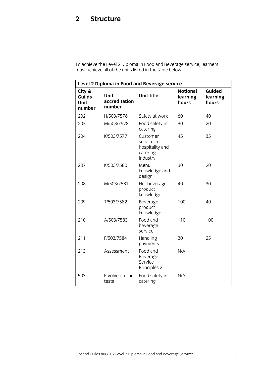<span id="page-4-0"></span>must achieve all of the units listed in the table below.

| Level 2 Diploma in Food and Beverage service |                                 |                                                                   |                                      |                             |
|----------------------------------------------|---------------------------------|-------------------------------------------------------------------|--------------------------------------|-----------------------------|
| City &<br>Guilds<br><b>Unit</b><br>number    | Unit<br>accreditation<br>number | <b>Unit title</b>                                                 | <b>Notional</b><br>learning<br>hours | Guided<br>learning<br>hours |
| 202                                          | H/503/7576                      | Safety at work                                                    | 60                                   | 40                          |
| 203                                          | M/503/7578                      | Food safety in<br>catering                                        | 30                                   | 20                          |
| 204                                          | K/503/7577                      | Customer<br>service in<br>hospitality and<br>catering<br>industry | 45                                   | 35                          |
| 207                                          | K/503/7580                      | Menu<br>knowledge and<br>design                                   | 30                                   | 20                          |
| 208                                          | M/503/7581                      | Hot beverage<br>product<br>knowledge                              | 40                                   | 30                          |
| 209                                          | T/503/7582                      | Beverage<br>product<br>knowledge                                  | 100                                  | 40                          |
| 210                                          | A/503/7583                      | Food and<br>beverage<br>service                                   | 110                                  | 100                         |
| 211                                          | F/503/7584                      | Handling<br>payments                                              | 30                                   | 25                          |
| 213                                          | Assessment                      | Food and<br>Beverage<br>Service<br>Principles 2                   | N/A                                  |                             |
| 503                                          | E-volve on-line<br>tests        | Food safety in<br>catering                                        | N/A                                  |                             |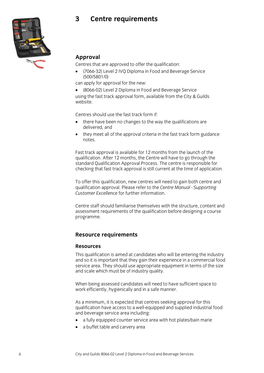### $\overline{3}$ **3 Centre requirements**



**Approval**<br>Centres that are approved to offer the qualification:

Tentres that are approved to offer the quality of the quality of the quality (7066-32) Level 2 IVQ Diploma in Food and Beverage Service

can apply for approval for the new:

•  $(8066-02)$  Level 2 Diploma in Food and Beverage Service<br>Using the fast track approval form available from the City & using the fast track approval form, available from the City & Guilds

Centres should use the fast track form if:

- there have been no changes to the way the qualifications are delivered, and
- $\bullet$  they meet all of the approval criteria in the fast track form guidance notes. notes.

Fast track approval is available for 12 months from the launch of the qualification. After 12 months, the Centre will have to go through the standard Qualification Approval Process. The centre is responsible for checking that fast track approval is still current at the time of application. checking that fast track approval is still current at the time of approximation. The time of application. The time of application of application of application. The time of application of application. The time of applicati

To offer this qualification, new centres will need to gain both centre and qualification approval. Please refer to the Centre Manual - Supporting qualification approval. Please refer to the *Centre Manual - Supporting* 

Centre staff should familiarise themselves with the structure, content and assessment requirements of the qualification before designing a course programme. programme.

## **Resource requirements**

### **Resources**

This qualification is aimed at candidates who will be entering the industry and so it is important that they gain their experience in a commercial food service area. They should use appropriate equipment in terms of the size and scale which must be of industry quality. and scale which must be obtained which  $\frac{1}{2}$ 

When being assessed candidates will need to have sufficient space to work efficiently, hygienically and in a safe manner. work efficiently, hygienically and in a safe manner.

As a minimum, it is expected that centres seeking approval for this qualification have access to a well-equipped and supplied industrial food and beverage service area including:

- a fully equipped counter service area with hot plates/bain marie
- a buffet table and carvery area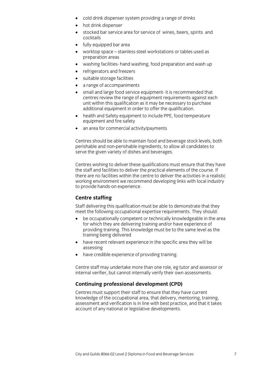- cold drink dispenser system providing a range of drinks
- hot drink dispenser<br>• stocked bar service
- stocked bar service area for service of wines, beers, spirits and
- $\bullet$  fully equipped bar area
- worktop space stainless steel workstations or tables used as
- washing facilities- hand washing, food preparation and wash up
- refrigerators and freezers<br>• suitable storage facilities
- suitable storage facilities<br>• a range of accompanime
- 
- a range of accompaniments<br>• small and large food service equipment- it is recommended that centres review the range of equipment requirements against each unit within this qualification as it may be necessary to purchase additional equipment in order to offer the qualification.
- health and Safety equipment to include PPE, food temperature<br>
equipment and fire safety
- $\bullet$  an area for commercial activity/payments

Centres should be able to maintain food and beverage stock levels, both perishable and non-perishable ingredients, to allow all candidates to serve the given variety of dishes and beverages. serve the given variety of dishes and beverages.

Centres wishing to deliver these qualifications must ensure that they have the staff and facilities to deliver the practical elements of the course. If there are no facilities within the centre to deliver the activities in a realistic working environment we recommend developing links with local industry to provide hands-on experience. to provide hands-on experience.

**Centre staffing**<br>Staff delivering this qualification must be able to demonstrate that they meet the following occupational expertise requirements. They should:

- be occupationally competent or technically knowledgeable in the area<br>for which they are delivering training and/or have experience of for which they are delivering training and/or have experience of providing training. This knowledge must be to the same level as the training being delivered
- have recent relevant experience in the specific area they will be assessing
- have credible experience of providing training.

Centre staff may undertake more than one role, eg tutor and assessor or internal verifier, but cannot internally verify their own assessments. internal verifier, but cannot internally verify their own assessments.

## **Continuing professional development (CPD)**<br>Centres must support their staff to ensure that they have current

knowledge of the occupational area, that delivery, mentoring, training, assessment and verification is in line with best practice, and that it takes account of any national or legislative developments. account of any national or legislative developments.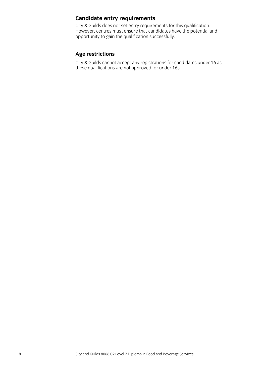**Candidate entry requirements**<br>City & Guilds does not set entry requirements for this qualification. However, centres must ensure that candidates have the potential and opportunity to gain the qualification successfully.  $\overline{a}$  operation successfully.

Age restrictions<br>City & Guilds cannot accept any registrations for candidates under 16 as these qualifications are not approved for under 16s. these qualifications are not approved for under 16s.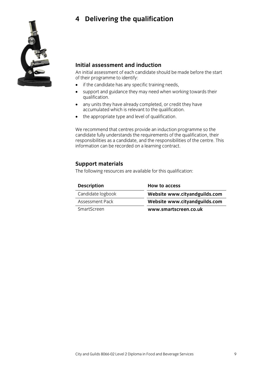## **4 Delivering the qualification**



### Initial assessment and induction

An initial assessment of each candidate should be made before the start of their programme to identify:

- if the candidate has any specific training needs,
- support and guidance they may need when working towards their
- any units they have already completed, or credit they have accumulated which is relevant to the qualification.
- the appropriate type and level of qualification.

We recommend that centres provide an induction programme so the candidate fully understands the requirements of the qualification, their responsibilities as a candidate, and the responsibilities of the centre. This information can be recorded on a learning contract. information can be recorded on a learning contract.

**Support materials**<br>The following resources are available for this qualification:  $\Gamma$  following resources are available for this qualification:

| <b>Description</b> | <b>How to access</b>          |
|--------------------|-------------------------------|
| Candidate logbook  | Website www.cityandguilds.com |
| Assessment Pack    | Website www.cityandguilds.com |
| SmartScreen        | www.smartscreen.co.uk         |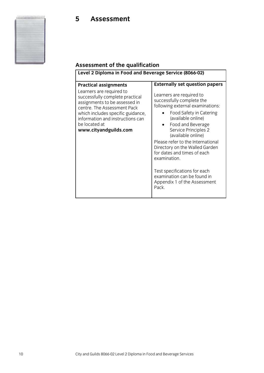### **Assessment of the qualification**

| <b>Practical assignments</b><br>Learners are required to<br>Learners are required to<br>successfully complete practical<br>successfully complete the<br>assignments to be assessed in<br>following external examinations:<br>centre. The Assessment Pack<br>Food Safety in Catering<br>which includes specific guidance,<br>(available online)<br>information and instructions can<br>be located at<br>Food and Beverage<br>www.cityandguilds.com<br>Service Principles 2<br>(available online)<br>Please refer to the International<br>Directory on the Walled Garden<br>for dates and times of each<br>examination.<br>Test specifications for each<br>examination can be found in<br>Appendix 1 of the Assessment<br>Pack. | Level 2 Diploma in Food and Beverage Service (8066-02) |                                       |
|-------------------------------------------------------------------------------------------------------------------------------------------------------------------------------------------------------------------------------------------------------------------------------------------------------------------------------------------------------------------------------------------------------------------------------------------------------------------------------------------------------------------------------------------------------------------------------------------------------------------------------------------------------------------------------------------------------------------------------|--------------------------------------------------------|---------------------------------------|
|                                                                                                                                                                                                                                                                                                                                                                                                                                                                                                                                                                                                                                                                                                                               |                                                        | <b>Externally set question papers</b> |
|                                                                                                                                                                                                                                                                                                                                                                                                                                                                                                                                                                                                                                                                                                                               |                                                        |                                       |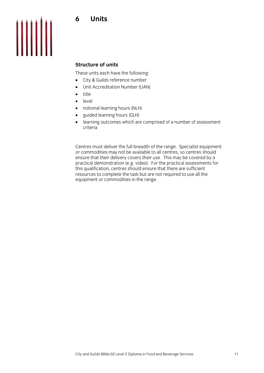### **Units** 6



### **Structure of units**

These units each have the following:

- City & Guilds reference number
- Unit Accreditation Number (UAN)<br>• title
- title<br>• leve
- level<br>• notio
- notional learning hours (NLH)<br>• guided learning hours (GLH)
- guided learning hours (GLH)<br>• learning outcomes which are
- learning outcomes which are comprised of a number of assessment criteria

Centres must deliver the full breadth of the range. Specialist equipment ensure that their delivery covers their use. This may be covered by a practical demonstration (e.g. video). For the practical assessments for this qualification, centres should ensure that there are sufficient resources to complete the task but are not required to use all the  $r_{\rm c}$  resources to complete the task but are not required to use and  $r_{\rm c}$  and  $r_{\rm c}$  and  $r_{\rm c}$  all the range. equipment or commodities in the range.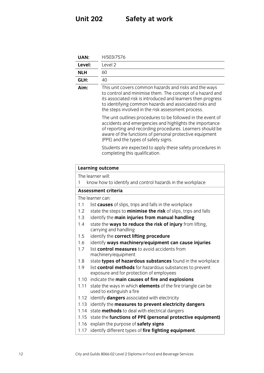## **Unit 202 Safety at work**

| <b>UAN:</b> | H/503/7576                                                                                                                                                                                                                                                                                          |
|-------------|-----------------------------------------------------------------------------------------------------------------------------------------------------------------------------------------------------------------------------------------------------------------------------------------------------|
| Level:      | Level 2                                                                                                                                                                                                                                                                                             |
| <b>NLH</b>  | 60                                                                                                                                                                                                                                                                                                  |
| GLH:        | 40                                                                                                                                                                                                                                                                                                  |
| Aim:        | This unit covers common hazards and risks and the ways<br>to control and minimise them. The concept of a hazard and<br>its associated risk is introduced and learners then progress<br>to identifying common hazards and associated risks and<br>the steps involved in the risk assessment process. |
|             | The unit outlines procedures to be followed in the event of<br>accidents and emergencies and highlights the importance<br>of reporting and recording procedures. Learners should be<br>aware of the functions of personal protective equipment<br>(PPE) and the types of safety signs.              |
|             | Students are expected to apply these safety procedures in<br>completing this qualification.                                                                                                                                                                                                         |
|             | <b>Learning outcome</b>                                                                                                                                                                                                                                                                             |
|             | The learner will:                                                                                                                                                                                                                                                                                   |
| 1           | know how to identify and control hazards in the workplace                                                                                                                                                                                                                                           |
|             | <b>Assessment criteria</b>                                                                                                                                                                                                                                                                          |
|             | The learner can:                                                                                                                                                                                                                                                                                    |
| 1.1         | list causes of slips, trips and falls in the workplace                                                                                                                                                                                                                                              |
| 1.2         | state the steps to <b>minimise the risk</b> of slips, trips and falls                                                                                                                                                                                                                               |
| 1.3         | identify the main injuries from manual handling                                                                                                                                                                                                                                                     |
| 1.4         | state the ways to reduce the risk of injury from lifting,<br>carrying and handling                                                                                                                                                                                                                  |
| 1.5         | identify the correct lifting procedure                                                                                                                                                                                                                                                              |
| 1.6         | identify ways machinery/equipment can cause injuries                                                                                                                                                                                                                                                |
| 1.7         | list control measures to avoid accidents from<br>machinery/equipment                                                                                                                                                                                                                                |
| 1.8         | state types of hazardous substances found in the workplace                                                                                                                                                                                                                                          |
| 1.9         | list control methods for hazardous substances to prevent<br>exposure and for protection of employees                                                                                                                                                                                                |
| 1.10        | indicate the main causes of fire and explosions                                                                                                                                                                                                                                                     |
| 1.11        | state the ways in which <b>elements</b> of the fire triangle can be<br>used to extinguish a fire                                                                                                                                                                                                    |
|             | 1.12 identify <b>dangers</b> associated with electricity                                                                                                                                                                                                                                            |
| 1.13        | identify the measures to prevent electricity dangers                                                                                                                                                                                                                                                |
|             | 1.14 state methods to deal with electrical dangers                                                                                                                                                                                                                                                  |
| 1.15        | state the functions of PPE (personal protective equipment)                                                                                                                                                                                                                                          |
| 1.16        | explain the purpose of safety signs                                                                                                                                                                                                                                                                 |
| 1.17        | identify different types of fire fighting equipment.                                                                                                                                                                                                                                                |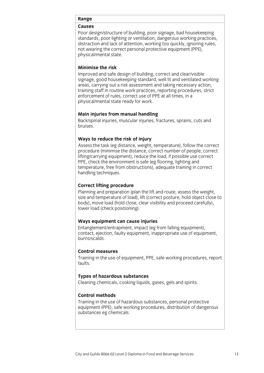Poor design/structure of building, poor signage, bad housekeeping standards, poor lighting or ventilation, dangerous working practices, distraction and lack of attention, working too quickly, ignoring rules, not wearing the correct personal protective equipment (PPE), physical/mental state. physical/mental state.

### Minimise the risk

Improved and safe design of building, correct and clear/visible signage, good housekeeping standard, well lit and ventilated working areas, carrying out a risk assessment and taking necessary action, training staff in routine work practices, reporting procedures, strict enforcement of rules, correct use of PPE at all times, in a physical/mental state ready for work. physical/mental state ready for work.

**Main injuries from manual handling<br>Back/spinal injuries, muscular injuries, fractures, sprains, cuts and** bruises, muscular injuries, muscular injuries, sprains, cuts and cuts and cuts and cuts and cuts and cuts and cuts and cuts and cuts and cuts and cuts and cuts and cuts and cuts and cuts and cuts and cuts and cuts and cuts

### Ways to reduce the risk of injury

Assess the task (eg distance, weight, temperature), follow the correct procedure (minimise the distance, correct number of people, correct lifting/carrying equipment), reduce the load, if possible use correct PPE, check the environment is safe (eg flooring, lighting and temperature, free from obstructions), adequate training in correct handling techniques.  $\overline{a}$ 

**Correct lifting procedure**<br>Planning and preparation (plan the lift and route, assess the weight, size and temperature of load), lift (correct posture, hold object close to body), move load (hold close, clear visibility and proceed carefully), lower load (check positioning).  $\mathcal{C}$ 

**Ways equipment can cause injuries** contact, ejection, faulty equipment, inappropriate use of equipment, burns/scalds.

### **Control measures**

Training in the use of equipment, PPE, safe working procedures, report  $T_{\text{Fallits}}$  is the use of equipment,  $T_{\text{Fallits}}$  is the use  $T_{\text{Fallits}}$ faults.

**These**<br>Cloening chamicals, sooking liquids Cleaning chemicals, cooking liquids, gases, gels and spirits.

### **Control methods**

Training in the use of hazardous substances, personal protective equipment (PPE), safe working procedures, distribution of dangerous substances eg chemicals. substances eg chemicals.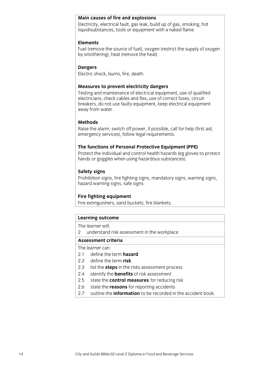### Main causes of fire and explosions

Electricity, electrical fault, gas leak, build up of gas, smoking, hot liquid/substances, tools or equipment with a naked flame. liquid/substances, tools or equipment with a naked flame.

### **Elements**

Fuel (remove the source of fuel), oxygen (restrict the supply of oxygen by smothering), heat (remove the heat).  $\mathbf{r}$  smoothering), heat (remove).

**Dangers**<br>Electric shock, burns, fire, death. Electric shock, burns, fire, death.

**Measures to prevent electricity dangers**<br>Testing and maintenance of electrical equipment, use of qualified electricians, check cables and flex, use of correct fuses, circuit breakers, do not use faulty equipment, keep electrical equipment away from water. away from water.

### **Methods**

Raise the alarm, switch off power, if possible, call for help (first aid, emergency services), follow legal requirements. emergency services), follow legal requirements.

**The functions of Personal Protective Equipment (PPE)**<br>Protect the individual and control health hazards (eg gloves to protect hands or goggles when using hazardous substances). hands or goggles when using hazardous substances).

**Safety signs**<br>**Prohibition signs, fire fighting signs, mandatory signs, warning signs,** hazard warning signs, safe signs.  $\overline{a}$  by signs, safe signs, safe signs.

**Fire fighting equipment**<br>Fire extinguishers, sand buckets, fire blankets.  $\frac{6}{2}$  , first buckets, first buckets, first buckets, first buckets, first buckets.

## **Learning outcome**<br>The learner will:

2 understand risk assessment in the workplace

### Assessment criteria

The learner can<sup>.</sup>

### 2.1 define the term hazard

- 2.2 define the term **risk**
- 2.3 list the **steps** in the risks assessment process
- 2.4 identify the **benefits** of risk assessment
- 2.5 state the **control measures** for reducing risk
- 2.6 state the **reasons** for reporting accidents
- 2.7 outline the **information** to be recorded in the accident book. 2.7 outline the **information** to be recorded in the accident book.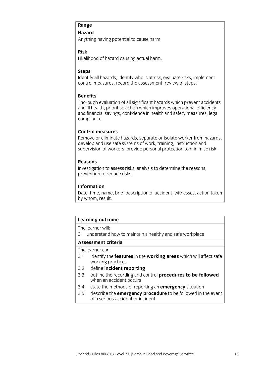Anythin  $\lambda$  and cause having potential to cause having potential to cause  $\lambda$ 

### **Risk**

Likelihood of hazard causing actual harm. Likelihood of hazard causing actual harm.

### **Steps**

Identify all hazards, identify who is at risk, evaluate risks, implement control measures, record the assessment, review of steps. control measures, record the assessment, review of steps.

### **Benefits**

Thorough evaluation of all significant hazards which prevent accidents and ill health, prioritise action which improves operational efficiency and financial savings, confidence in health and safety measures, legal compliance. compliance.

### **Control measures**

Remove or eliminate hazards, separate or isolate worker from hazards, develop and use safe systems of work, training, instruction and supervision of workers, provide personal protection to minimise risk. supervision of workers, provide personal protection to minimise risk.

### **Reasons**

Investigation to assess risks, analysis to determine the reasons, prevention to reduce risks. prevention to reduce risks.

### **Information**

Date, time, name, brief description of accident, witnesses, action taken by whom, result.  $\frac{1}{\sqrt{2}}$ 

## **Learning outcome**<br>The learner will:

ndarctand<br>3 understand 3 understand how to maintain a healthy and safe workplace

The learner can:

- 3.1 identify the **features** in the **working areas** which will affect safe  $working$  practices
- $3.2$ define incident reporting
- 3.3 outline the recording and control **procedures to be followed** when an accident occurs
- state the methods of reporting an **emergency** situation
- 3.4 state the methods of reporting an **emergency** situation of a serious accident or incident. <u>of a serious accident or incident.</u>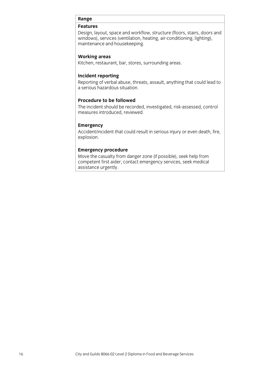Design, layout, space and workflow, structure (floors, stairs, doors and windows), services (ventilation, heating, air-conditioning, lighting), maintenance and housekeeping. maintenance and housekeeping.

### **Working areas**

Kitchen, restaurant, bar, stores, surrounding areas. Kitchen, restaurant, bar, stores, surrounding areas.

### Incident reporting

Reporting of verbal abuse, threats, assault, anything that could lead to a serious hazardous situation.

### Procedure to be followed

The incident should be recorded, investigated, risk-assessed, control measures introduced, reviewed. measures introduced, reviewed.

**Emergency**<br>Accident/incident that could result in serious injury or even death, fire, explosion. explosion.

**Emergency procedure**<br>Move the casualty from danger zone (if possible), seek help from competent first aider, contact emergency services, seek medical assistance urgently. <u>assistance</u> urgently.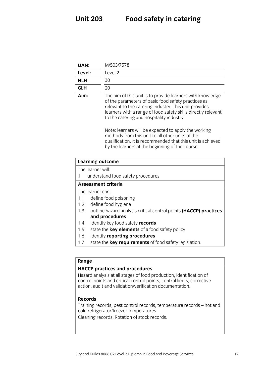| <b>UAN:</b> | M/503/7578                                                                                                                                                                                                                                                                               |
|-------------|------------------------------------------------------------------------------------------------------------------------------------------------------------------------------------------------------------------------------------------------------------------------------------------|
| Level:      | Level 2                                                                                                                                                                                                                                                                                  |
| <b>NLH</b>  | 30                                                                                                                                                                                                                                                                                       |
| <b>GLH</b>  | 20                                                                                                                                                                                                                                                                                       |
| Aim:        | The aim of this unit is to provide learners with knowledge<br>of the parameters of basic food safety practices as<br>relevant to the catering industry. This unit provides<br>learners with a range of food safety skills directly relevant<br>to the catering and hospitality industry. |
|             | Note: learners will be expected to apply the working<br>methods from this unit to all other units of the<br>qualification. It is recommended that this unit is achieved<br>by the learners at the beginning of the course.                                                               |

|  | <b>Learning outcome</b> |
|--|-------------------------|
|--|-------------------------|

The learner will:

1 understand food safety procedures

### Assessment criteria

The learner can:

- 1.1 define food poisoning
- 1.2 define food hygiene
- 1.3 outline hazard analysis critical control points (HACCP) practices and procedures
- identify key food safety **records**
- 1.4 identify key food safety **records**<br>1.5 state the **key elements** of a food safety policy
- 1.6 identify **reporting procedures**
- 1.7 state the **key requirements** of 1.7 state the **key requirements** of food safety legislation.

## **Range**<br>**HACCP** practices and procedures

Hazard analysis at all stages of food production, identification of control points and critical control points, control limits, corrective action, audit and validation/verification documentation. action, audit and validation/verification documentation.

### **Records**

Training records, pest control records, temperature records - hot and cold refrigerator/freezer temperatures.

coloning records. Potation of stock res Cleaning records, Rotation of stock records.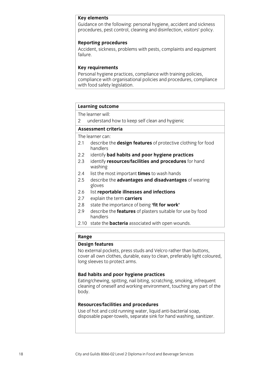### **Key elements**

Guidance on the following: personal hygiene, accident and sickness procedures, pest control, cleaning and disinfection, visitors' policy. procedures, pest control, cleaning and disinfection, visitors' policy.

**Reporting procedures**<br>Accident, sickness, problems with pests, complaints and equipment  $A$ cident, sickness, problems with pests, complex with pests, complex  $A$ 

### **Key requirements**

Personal hygiene practices, compliance with training policies, compliance with organisational policies and procedures, compliance with food safety legislation. with  $\frac{1}{\sqrt{2}}$  is a food safety legislation.

## **Learning outcome**<br>The learner will:

2 understand how to keep self clean and hygienic

### Assessment criteria

The learner can:

- 2.1 describe the **design features** of protective clothing for food h and lers
- $2.2$ identify bad habits and poor hygiene practices
- 2.3 identify **resources/facilities and procedures** for hand washing
- $2.4$ list the most important times to wash hands
- 2.5 describe the **advantages and disadvantages** of wearing 2.5 describe the **advantages and disadvantages** of wearing gloves<br>list reportable illnesses and infections
- $2.6$
- 2.7 explain the term **carriers**
- 2.8 state the importance of being **fit for work'**
- 2.9 describe the **features** of plasters suitable for use by food handlers
- 2.10 state the **bacteria** associated with open wounds. 2.10 state the **bacteria** associated with open wounds.

## **Range**<br>**Design features**

No external pockets, press studs and Velcro rather than buttons, cover all own clothes, durable, easy to clean, preferably light coloured, long sleeves to protect arms. long sleeves to protect arms.

**Bad habits and poor hygiene practices**<br>
Eating/chewing, spitting, nail biting, scratching, smoking, infrequent  $\frac{1}{2}$  cheaning of oneself and working environment touching any nart of the coleaning of ones environment, touching and working and working and part of the theory part of the theory part of the theory part of the theory of the theory of the theory of the theory of the theory of the theory of the t  $\mathcal{L}$ 

**Resources/facilities and procedures**<br>Use of hot and cold running water, liquid anti-bacterial soap, disposable paper-towels, separate sink for hand washing, sanitizer. disposable paper-towels, separate sink for hand washing, sanitizer.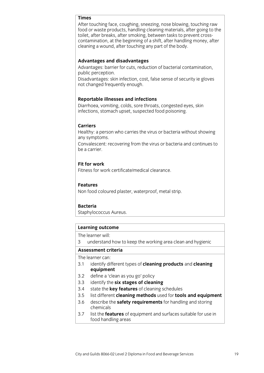### **Times**

After touching face, coughing, sneezing, nose blowing, touching raw food or waste products, handling cleaning materials, after going to the toilet, after breaks, after smoking, between tasks to prevent crosscontamination, at the beginning of a shift, after handling money, after cleaning a wound, after touching any part of the body. coleaning a wound, after the body.

### **Advantages and disadvantages**

Advantages: barrier for cuts, reduction of bacterial contamination, public perception.

Disadvantages: skin infection, cost, false sense of security ie gloves not changed frequently enough. not changed frequently enough.

**Reportable illnesses and infections**<br>Diarrhoea, vomiting, colds, sore throats, congested eyes. skin infections, stomach upset, suspected food poisoning. infections, stomach upset, suspected food poisoning.

### **Carriers**

Healthy: a person who carries the virus or bacteria without showing any symptoms.

Convalescent: recovering from the virus or bacteria and continues to be a carrier.

### **Fit for work**

Fitness for work certificate/medical clearance.

### **Features**

Non food coloured plaster, waterproof, metal strip. Non food coloured plaster, waterproof, metal strip.

### **Bacteria**

**Staphylococcus Aureus.** Staphylococcus Aureus.

## **Learning outcome**<br>The learner will:

3 understand how to keep the working area clean and hygienic 3 understand how to keep the working area clean and hygienic

The learner can:

- 3.1 identify different types of cleaning products and cleaning  $equipment$
- $3.2$ define a 'clean as you go' policy
- 3.3 identify the six stages of cleaning
- 3.4 state the **key features** of cleaning schedules
- 3.5 list different **cleaning methods** used for **tools and equipment**
- 3.6 describe the **safety requirements** for handling and storing chemicals
- 37 list the **features** of equipment and surfaces suitable for use in food handling areas  $\frac{1}{\sqrt{2}}$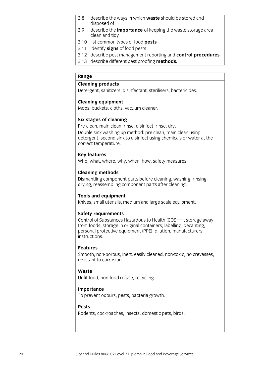- describe the ways in which waste should be stored and  $3.8$ disposed of
- $3.9$ describe the **importance** of keeping the waste storage area clean and tidy
- 3.10 list common types of food pests
- 3.11 identify **signs** of food pests
- 3.12 describe pest management reporting and **control procedures**
- 3.13 describe different pest proofing **methods.** 3.13 describe different pest proofing **methods.**

## **Range**<br>**Cleaning products**

Detergent, sanitizers, disinfectant, sterilisers, bactericides. Detergent, sanitizers, disinfectant, sterilisers, bactericides.

### **Cleaning equipment**

Mops, buckets, cloths, vacuum cleaner. Mops, buckets, cloths, vacuum cleaner.

**Six stages of cleaning**<br>Pre-clean, main clean, rinse, disinfect, rinse, dry.

Double sink washing up method: pre clean, main clean using detergent, second sink to disinfect using chemicals or water at the correct temperature. correct temperature.

**Key features**<br>Who, what, where, why, when, how, safety measures. When, why, why, why, why, why, why, safety measures.

**Cleaning methods**<br>Dismantling component parts before cleaning, washing, rinsing, drying, reassembling component parts after cleaning.  $\overline{a}$  reassement parts after component parts after component parts after component parts after component parts after component  $\overline{a}$ 

**Tools and equipment**<br>Knives, small utensils, medium and large scale equipment.  $\frac{1}{2}$  and  $\frac{1}{2}$  and  $\frac{1}{2}$  and  $\frac{1}{2}$  and  $\frac{1}{2}$  and  $\frac{1}{2}$  and  $\frac{1}{2}$  and  $\frac{1}{2}$  and  $\frac{1}{2}$  and  $\frac{1}{2}$  and  $\frac{1}{2}$  and  $\frac{1}{2}$  and  $\frac{1}{2}$  and  $\frac{1}{2}$  and  $\frac{1}{2}$  and  $\frac{1}{2}$  a

**Safety requirements**<br>Control of Substances Hazardous to Health (COSHH), storage away from foods, storage in original containers, labelling, decanting, personal protective equipment (PPE), dilution, manufacturers' instructions.

### **Features**

Smooth, non-porous, inert, easily cleaned, non-toxic, no crevasses, resistant to corrosion.

### Waste

سي<br>I Infit f*r*  $U(x)$  food, non-food, refuse, recycling.

**Importance**<br>To prevent odours, pests, bacteria growth. To prevent odours, pests, bacteria growth.

### **Pests**

Rodents, cockroaches, insects, domestic pets, birds. Rodents, cockroaches, insects, domestic pets, birds.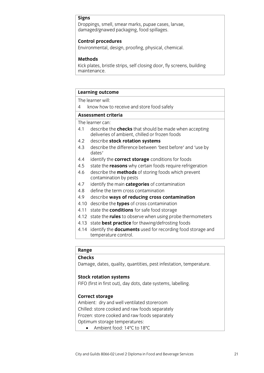### **Signs**

Droppings, smell, smear marks, pupae cases, larvae, damaged/gnawed packaging, food spillages. damaged/gnawed packaging, food spillages.

**Control procedures**<br>Environmental, design, proofing, physical, chemical.  $\begin{bmatrix} 1 & 0 & 0 \\ 0 & 1 & 0 \end{bmatrix}$ 

### **Methods**

Kick plates, bristle strips, self closing door, fly screens, building maintenance. maintenance.<br>Maintenance

## **Learning outcome**<br>The learner will:

know how to receive and store food safely

### Assessment criteria

The learner can:

- 4.1 describe the **checks** that should be made when accepting deliveries of ambient, chilled or frozen foods
- $4.2$ describe stock rotation systems
- 4.3 describe the difference between 'best before' and 'use by<br>dates' dates'<br>identify the **correct storage** conditions for foods
- $4.4$
- 4.5 state the **reasons** why certain foods require refrigeration
- 4.6 describe the **methods** of storing foods which prevent contamination by pests
- 4.7 identify the main categories of contamination
- 4.8 define the term cross contamination
- 4.9 describe ways of reducing cross contamination
- 4.10 describe the **types** of cross contamination
- 4.11 state the **conditions** for safe food storage
- 4.12 state the **rules** to observe when using probe thermometers
- 4.13 state **best practice** for thawing/defrosting foods
- 4.14 identify the **documents** used for recording food storage and temperature control. temperature control.

## **Range**

**Checks**<br>Damage  $\sigma$ -, and  $\sigma$ -,  $\sigma$ -,  $\sigma$ -,  $\sigma$ -,  $\sigma$ -,  $\sigma$ -,  $\sigma$ -,  $\sigma$ -,  $\sigma$ -,  $\sigma$ -,  $\sigma$ -,  $\sigma$ -,  $\sigma$ -,  $\sigma$ -,  $\sigma$ -,  $\sigma$ -,  $\sigma$ -,  $\sigma$ -,  $\sigma$ -,  $\sigma$ -,  $\sigma$ -,  $\sigma$ -,  $\sigma$ -,  $\sigma$ -,  $\sigma$ -,  $\sigma$ -,  $\sigma$ -,  $\sigma$ -,  $\sigma$ -,  $\sigma$ -,

**STOCK ROTATION**<br>STOCK first in first out) day  $F_{\text{1}}$  first out), day does not do the system system system systems, labelling.

**Correct storage**<br>Ambient: dry and well ventilated storeroom Chilled: store cooked and raw foods separately Frozen: store cooked and raw foods separately Optimum storage temperatures:

 $\bullet$  Ambient food: 14 $\degree$ C to 18 $\degree$ C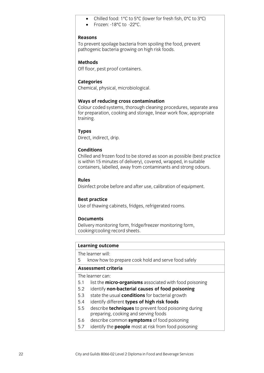- Chilled food: 1ºC to 5ºC (lower for fresh fish, 0ºC to 3ºC)
- Frozen: -18ºC to -22ºC.

### **Reasons**

To prevent spoilage bacteria from spoiling the food, prevent pathogenic bacteria growing on high risk foods. pathogenic bacteria growing on high risk foods.

### **Methods**

Off floor, pest proof containers. Off floor, pest proof containers.

**Categories** Chemical, physical, microbiological.

Ways of reducing cross contamination<br>Colour coded systems, thorough cleaning procedures, separate area for preparation, cooking and storage, linear work flow, appropriate training. training.

**Ti**<br>Direct Direct, indirect, drip.

### **Conditions**

Chilled and frozen food to be stored as soon as possible (best practice is within 15 minutes of delivery), covered, wrapped, in suitable containers, labelled, away from contaminants and strong odours. containers, labelled, away from contaminants and strong odours.

### **Rules**

Disinfect probe before and after use, calibration of equipment. Disinfect probe before and after use, calibration of equipment.

**Bea of thawing**  $\cup$  that the than  $\cup$  refrigeration  $\cup$ 

### **Documents**

Delivery monitoring form, fridge/freezer monitoring form, cooking/cooling record sheets. cooling record sheets.

## **Learning outcome**<br>The learner will:

5 know how to prepare cook hold and serve food safely  $\frac{1}{\sqrt{2}}$  know to prepare cook how to prepare cook how to prepare cook  $\frac{1}{\sqrt{2}}$ 

The learner can:

- 5.1 list the **micro-organisms** associated with food poisoning
- 5.2 identify **non-bacterial causes of food poisoning**
- 5.3 state the usual **conditions** for bacterial growth
- 5.4 identify different **types of high risk foods**
- 5.5 describe **techniques** to prevent food poisoning during preparing, cooking and serving foods
- describe common symptoms of food poisoning
- 5.6 describe common **symptoms** of food poisoning 5.7 identify the **people** most at risk from food poisoning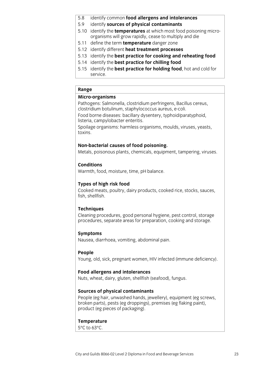- 5.8 identify common food allergens and intolerances
- 5.9 identify **sources of physical contaminants**
- 5.10 identify the **temperatures** at which most food poisoning microorganisms will grow rapidly, cease to multiply and die
- 5.11 define the term **temperature** danger zone
- 5.12 identify different **heat treatment processes**
- 5.13 identify the **best practice for cooking and reheating food**
- 5.14 identify the **best practice for chilling food**
- 5.15 identify the **best practice for holding food**, hot and cold for **Service best produced best produced best produced** for  $\mathbf{b}$ service.

Pathogens: Salmonella, clostridium perfringens, Bacillus cereus, clostridium botulinum, staphylococcus aureus, e-coli.

Food borne diseases: bacillary dysentery, typhoid/paratyphoid, listeria, campylobacter enteritis.

steriko (j. 1755).<br>Spojlaga organisms: barmless or Spoilage organisms: harmless organisms, moulds, viruses, yeasts,

**Non-bacterial causes of food poisoning.** Metals, poisonous plants, chemicals, equipment, tampering, viruses.

### **Conditions**

**Warmth** for  $\mathcal{N} = \mathcal{N} = \mathcal{N} = \mathcal{N}$ 

**Types of high risk food**<br>Cooked meats, poultry, dairy products, cooked rice, stocks, sauces, fish, shellfish. fish, shellfish.

**Techniques**<br>Cleaning procedures, good personal hygiene, pest control, storage procedures, separate areas for preparation, cooking and storage. procedures, separate areas for preparation, cooking and storage.

**Symptoms**<br>Nausea, diarrhoea, vomiting, abdominal pain.  $\frac{1}{2}$ 

**People People**  $\frac{1}{2}$  in  $\frac{1}{2}$  in  $\frac{1}{2}$  in  $\frac{1}{2}$  in  $\frac{1}{2}$  in  $\frac{1}{2}$  in  $\frac{1}{2}$  in  $\frac{1}{2}$  in  $\frac{1}{2}$  in  $\frac{1}{2}$ 

**Food allergens and intolerances**<br>Nuts, wheat, dairy, gluten, shellfish (seafood), fungus.  $\frac{1}{2}$  and  $\frac{1}{2}$  and  $\frac{1}{2}$  (see form), function, function, function, function, function, function, function, function, function, function, function, function, function, function, function, function, function, f

**Sources of physical contaminants**<br>People (eg hair, unwashed hands, jewellery), equipment (eg screws, broken parts), pests (eg droppings), premises (eg flaking paint), product (eg pieces of packaging). product (eg pieces of packaging).

## **Temperature**<br>5°C to 63°C.

5°C to 63°C.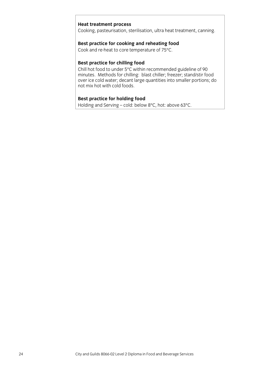**Heat treatment process**<br>Cooking, pasteurisation, sterilisation, ultra heat treatment, canning. Cooking, pasteurisation, sterilisation, ultra heat treatment, canning.

## **Best practice for cooking and reheating food** Cook and re-heat to core temperature of 75°C.

Cook and re-heat to core temperature of 75°C.

Best practice for chilling food<br>Chill hot food to under 5°C within recommended guideline of 90 minutes. Methods for chilling: blast chiller; freezer; stand/stir food over ice cold water; decant large quantities into smaller portions; do not mix hot with cold foods.

**Best practice for holding food**<br>Holding and Serving – cold: below 8°C, hot: above 63°C. Holding and Serving – cold: below 8°C, hot: above 63°C.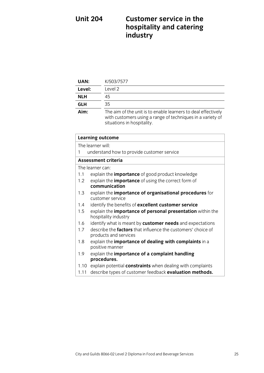## **Unit 204 Customer service in the hospitalistics industry**

| UAN:       | K/503/7577                                                                                                                                                |
|------------|-----------------------------------------------------------------------------------------------------------------------------------------------------------|
| Level:     | Level 2                                                                                                                                                   |
| <b>NLH</b> | 45                                                                                                                                                        |
| <b>GLH</b> | 35                                                                                                                                                        |
| Aim:       | The aim of the unit is to enable learners to deal effectively<br>with customers using a range of techniques in a variety of<br>situations in hospitality. |

|      | <b>Learning outcome</b>                                                                      |  |
|------|----------------------------------------------------------------------------------------------|--|
|      | The learner will:                                                                            |  |
| 1    | understand how to provide customer service                                                   |  |
|      | Assessment criteria                                                                          |  |
|      | The learner can:                                                                             |  |
| 1.1  | explain the <b>importance</b> of good product knowledge                                      |  |
| 1.2  | explain the <i>importance</i> of using the correct form of                                   |  |
|      | communication                                                                                |  |
| 1.3  | explain the importance of organisational procedures for<br>customer service                  |  |
| 1.4  | identify the benefits of excellent customer service                                          |  |
| 1.5  | explain the <i>importance</i> of personal presentation within the<br>hospitality industry    |  |
| 1.6  | identify what is meant by customer needs and expectations                                    |  |
| 1.7  | describe the <b>factors</b> that influence the customers' choice of<br>products and services |  |
| 1.8  | explain the importance of dealing with complaints in a<br>positive manner                    |  |
| 1.9  | explain the importance of a complaint handling<br>procedures.                                |  |
| 1.10 | explain potential <b>constraints</b> when dealing with complaints                            |  |
| 1.11 | describe types of customer feedback evaluation methods.                                      |  |
|      |                                                                                              |  |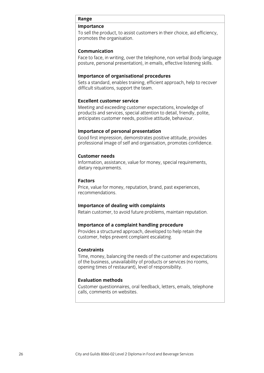To sell the product, to assist customers in their choice, aid efficiency, promotes the organisation. promotes the organisation.

### **Communication**

Face to face, in writing, over the telephone, non verbal (body language) posture, personal presentation), in emails, effective listening skills. posture, personal presentation), in emails, effective listening skills.

**Importance of organisational procedures**<br>Sets a standard, enables training, efficient approach, help to recover difficult situations, support the team. different situations, support the team. The team of the team of the team. The team of the team of the team. The team

### **Excellent customer service**

**Meeting and exceeding customer expectations, knowledge of** products and services, special attention to detail, friendly, polite, anticipates customer needs, positive attitude, behaviour. anticipates customer needs, positive attitude, behaviour.

**Importance of personal presentation**<br>Good first impression, demonstrates positive attitude, provides professional image of self and organisation, promotes confidence. professional image of self and organisation, promotes confidence.

### **Customer needs**

Information, assistance, value for money, special requirements, dietary requirements. dietary requirements.

### **Factors**

Price, value for money, reputation, brand, past experiences, recommendations.

**Importance of dealing with complaints**<br>Retain customer, to avoid future problems, maintain reputation. Retain customer, to avoid future problems, maintain reputation.

## **Importance of a complaint handling procedure**<br>Provides a structured approach, developed to help retain the

 $\alpha$  customer helps prevent complaint escalating customer, helps prevent complete complaint established and complete complete complete complete complete complete complete complete complete complete complete complete complete complete complete complete complete complete c

### **Constraints**

Time, money, balancing the needs of the customer and expectations of the business, unavailability of products or services (no rooms, opening times of restaurant), level of responsibility.  $\mathbf{p}$  of restaurant  $\mathbf{p}$ , is exponsibility.

### **Evaluation methods**

Customer questionnaires, oral feedback, letters, emails, telephone calls, comments on websites. calls, comments on website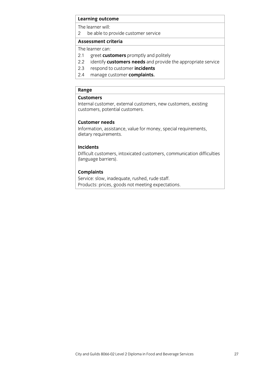## **Learning outcome**<br>The learner will:

2 be able to provide customer service

### Assessment criteria

The learner can:

- 2.1 greet customers promptly and politely
- 2.2 identify **customers needs** and provide the appropriate service
- 2.3 respond to customer **incidents**
- 2.4 manage customer **complaints.** 2.4 manage customer **complaints.**

## Range<br>Customers

Internal customer, external customers, new customers, existing customers, potential customers. customers, potential customers. Potential customers. Potential customers. Potential customers. Potential customers. Potential customers. Potential customers. Potential customers. Potential customers. Potential customers. P

### **Customer needs**

Information, assistance, value for money, special requirements, dietary requirements. dietary requirements.

### **Incidents**

Difficult customers, intoxicated customers, communication difficulties (language barriers).  $\sim$  0 0  $\sim$   $\sim$ 

**Complaints**<br>Service: slow, inadequate, rushed, rude staff. Products: prices, goods not meeting expectations. Products: prices, goods not meeting expectations.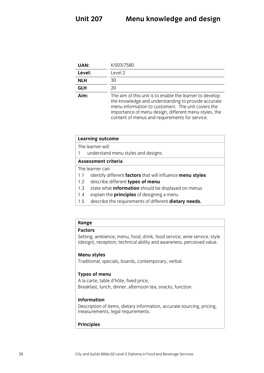| UAN:       | K/503/7580                                                                                                                                                                                                                                                                       |
|------------|----------------------------------------------------------------------------------------------------------------------------------------------------------------------------------------------------------------------------------------------------------------------------------|
| Level:     | Level 2                                                                                                                                                                                                                                                                          |
| <b>NLH</b> | 30                                                                                                                                                                                                                                                                               |
| <b>GLH</b> | 20                                                                                                                                                                                                                                                                               |
| Aim:       | The aim of this unit is to enable the learner to develop<br>the knowledge and understanding to provide accurate<br>menu information to customers. The unit covers the<br>importance of menu design, different menu styles, the<br>content of menus and requirements for service. |

content of menus and requirements for service.

| <b>Learning outcome</b>                                  |                                                            |  |
|----------------------------------------------------------|------------------------------------------------------------|--|
| The learner will:                                        |                                                            |  |
|                                                          | understand menu styles and designs                         |  |
| <b>Assessment criteria</b>                               |                                                            |  |
| The learner can:                                         |                                                            |  |
| 1.1                                                      | identify different factors that will influence menu styles |  |
| 1.2                                                      | describe different types of menu                           |  |
| 1.3                                                      | state what information should be displayed on menus        |  |
| explain the <b>principles</b> of designing a menu<br>1.4 |                                                            |  |

1.5 describe the requirements of different **dietary needs.** 1.5 describe the requirements of different **dietary needs.**

## **Range**

Setting, ambience, menu, food, drink, food service, wine service, style  $\frac{1}{2}$  (design) reception, technical ability and awareness, perceived value  $\alpha$  ability and ability and alignment values of  $\alpha$ 

**T**raditional cr  $T_{\text{eff}}$  specially, boards, contemporary, contemporary, verbal.

**Types of menu**  $R$  realistic d'hôte, fixed price,  $R$ Breakfast, lunch, dinner, afternoon tea, snacks, function.

**Information**<br>Description of items, dietary information, accurate sourcing, pricing,  $\sum_{i=1}^{n}$  description of items,  $\sum_{i=1}^{n}$  is accurate sourcing, pricing, pricing, pricing, pricing, pricing, pricing, pricing, pricing, pricing, pricing, pricing, pricing, pricing, pricing, pricing, pricing, pricing measurements, legal requirements.

### **Principles**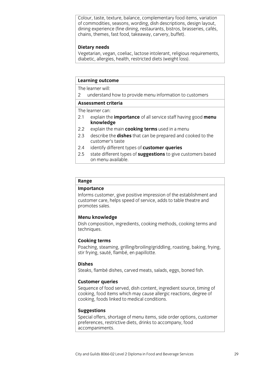Colour, taste, texture, balance, complementary food items, variation of commodities, seasons, wording, dish descriptions, design layout, dining experience (fine dining, restaurants, bistros, brasseries, cafés, chains, themes, fast food, takeaway, carvery, buffet). chains, themes, fast food, takeaway, carvery, buffet).

### **Dietary needs**

Vegetarian, vegan, coeliac, lactose intolerant, religious requirements, diabetic, allergies, health, restricted diets (weight loss).  $\frac{1}{\sqrt{2}}$  ,  $\frac{1}{\sqrt{2}}$  ,  $\frac{1}{\sqrt{2}}$  ,  $\frac{1}{\sqrt{2}}$  ,  $\frac{1}{\sqrt{2}}$  ,  $\frac{1}{\sqrt{2}}$ 

### **Learning outcome**

The learner will:

2 understand how to provide menu information to customers

### Assessment criteria

The learner can:

- 2.1 explain the **importance** of all service staff having good **menu**  $kn$  owledge
- $2.2^{\circ}$ explain the main **cooking terms** used in a menu
- 2.3 describe the **dishes** that can be prepared and cooked to the customer's taste
- $2.4$ identify different types of customer queries
- 2.5 state different types of **suggestions** to give customers based 2.5 state different types of **suggestions** to give customers based on menu available.

## **Range**

Informs customer, give positive impression of the establishment and customer care, helps speed of service, adds to table the atre and promotes sales. promotes sales.

**Menu knowledge**<br>Dish composition, ingredients, cooking methods, cooking terms and Dish composition, ingredients, cooking methods, cooking terms and techniques.

**Cooking terms**<br>Poaching, steaming, grilling/broiling/griddling, roasting, baking, frying, stir frying, sauté, flambé, en papillotte. stir frying, sauté, flambé, en papillotte.

### **Dishes**

Steaks, flambé dishes, carved meats, salads, eggs, boned fish.  $\frac{1}{2}$  flambé dispersion meats, salads, salads, eggs, boned fish.

**Customer queries**<br>Sequence of food served, dish content, ingredient source, timing of cooking, food items which may cause allergic reactions, degree of cooking, foods linked to medical conditions. cooking, foods linked to medical conditions.

**Suggestions**<br>Special offers, shortage of menu items, side order options, customer preferences, restrictive diets, drinks to accompany, food accompaniments. accompanies in the companies of the companies of the companies of the companies of the companies of the companies of the companies of the companies of the companies of the companies of the companies of the companies of the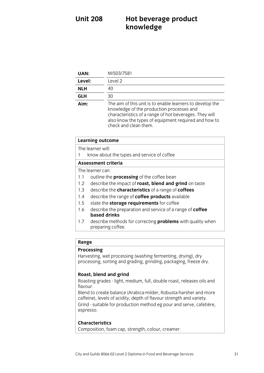### **Hot beverage product knowledge Unit 208 knowledge**

| UAN:       | M/503/7581                                                                                                                                                                                                                                        |
|------------|---------------------------------------------------------------------------------------------------------------------------------------------------------------------------------------------------------------------------------------------------|
| Level:     | Level 2                                                                                                                                                                                                                                           |
| <b>NLH</b> | 40                                                                                                                                                                                                                                                |
| <b>GLH</b> | 30                                                                                                                                                                                                                                                |
| Aim:       | The aim of this unit is to enable learners to develop the<br>knowledge of the production processes and<br>characteristics of a range of hot beverages. They will<br>also know the types of equipment required and how to<br>check and clean them. |

| <b>Learning outcome</b> |  |
|-------------------------|--|
|                         |  |

The learner will:

1 know about the types and service of coffee

### Assessment criteria

The learner can:

- 1.1 outline the **processing** of the coffee bean
- 1.2 describe the impact of **roast, blend and grind** on taste
- 1.3 describe the **characteristics** of a range of **coffees**
- 1.4 describe the range of **coffee products** available
- 1.5 state the **storage requirements** for coffee
- 1.6 describe the preparation and service of a range of **coffee** based drinks
- describe methods for correcting **problems** with quality when  $17$ **1.7 descriptions for corrections** presented with  $\frac{1}{2}$  when  $\frac{1}{2}$  when  $\frac{1}{2}$  when  $\frac{1}{2}$  when  $\frac{1}{2}$  when  $\frac{1}{2}$  when  $\frac{1}{2}$  when  $\frac{1}{2}$  when  $\frac{1}{2}$  when  $\frac{1}{2}$  when  $\frac{1}{2}$  when  $\frac{1}{2$  $\overline{\phantom{a}}$

## **Range**<br>**Processing**

Harvesting, wet processing (washing fermenting, drying), dry  $h$  arrors  $\frac{1}{2}$ , we have provided to processing freeze of  $h$  and  $\alpha$  and  $\alpha$  arrival freeze of  $\alpha$ processing, sorting and grading, grading, packaging, freeze,  $\frac{1}{2}$ 

**Roast, blend and grind**<br>Roasting grades - light, medium, full, double roast, releases oils and  $R = \frac{1}{2}$ 

Blend to create balance (Arabica-milder, Robusta-harsher and more caffeine), levels of acidity, depth of flavour strength and variety. Grind - suitable for production method eg pour and serve, cafetière, Grind - suitable for production method eg pour and serve, cafetière, espresso.

### **Characteristics**

**Composition** for Composition, foam cap, strength, colour, creamer.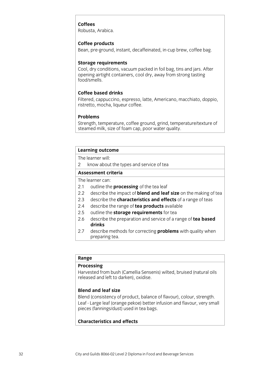### Coffees

Robusta, Arabica. Robusta, Arabica.

### Coffee products

Bean, pre-ground, instant, decaffeinated, in-cup brew, coffee bag. Bean, pre-ground, instant, decaffeinated, in-cup brew, coffee bag.

**Storage requirements**<br>Cool, dry conditions, vacuum packed in foil bag, tins and jars. After opening airtight containers, cool dry, away from strong tasting food/smells.

### **Coffee based drinks**

Filtered, cappuccino, espresso, latte, Americano, macchiato, doppio, ristretto, mocha, liqueur coffee. ristretto, mocha, liqueur coffee.

### **Problems**

Strength, temperature, coffee ground, grind, temperature/texture of steamed milk, size of foam cap, poor water quality.  $\frac{1}{2}$  steamed milk, size of foam cap, poor water quality.

## **Learning outcome**<br>The learner will:

2 know about the types and service of tea

### Assessment criteria

The learner can:

- 2.1 outline the **processing** of the tea leaf
- 2.2 describe the impact of **blend and leaf size** on the making of tea
- 2.3 describe the **characteristics and effects** of a range of teas
- 2.4 describe the range of **tea products** available
- 2.5 outline the **storage requirements** for tea
- 2.5 outline the **storage requirements** for tea 2.6 describe the preparation and service of a range of **tea based**
- $2.7$ describe methods for correcting **problems** with quality when 2.7 describe methods for correcting **problems** with quality when <u>present teacher</u>

## **Range**<br>**Processing**

Harvested from bush (Camellia Sensenis) wilted, bruised (natural oils  $\mathsf{released}$  and left to darken) oxidise released and left to darken), oxidise.

### **Blend and leaf size**

Blend (consistency of product, balance of flavour), colour, strength. Leaf - Large leaf (orange pekoe) better infusion and flavour, very small  $\frac{1}{2}$  - Large performance per performance per performance per performance per person and flavour, very small pieces (fancings/dust) used in tea bags.

### **Characteristics and effects Characteristics** and effects and effects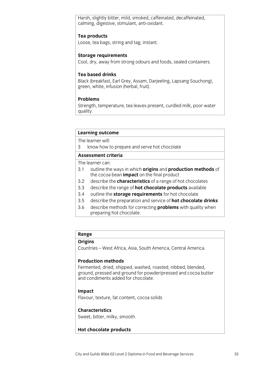Harsh, slightly bitter, mild, smoked, caffeinated, decaffeinated, calming, digestive, stimulant, anti-oxidant.  $\alpha$ , digestive, stimulant, and  $\alpha$ 

**Tea products**<br>Loose, tea bags, string and tag, instant.  $\mathcal{L}$  tea bags, string and tag, instant.

**Storage requirements**<br>Cool, dry, away from strong odours and foods, sealed containers. Cool, dry, away from strong odours and foods, sealed containers.

### **Tea based drinks**

Black (breakfast, Earl Grey, Assam, Darjeeling, Lapsang Souchong), green, white, infusion (herbal, fruit).  $\mathbf{g}$  is infusion (herebal, fruit).

### **Problems**

Strength, temperature, tea leaves present, curdled milk, poor water  $S$  and the leaves present, current milk, poor water present, poor water  $\mathcal{L}$ quality.

## **Learning outcome**<br>The learner will:

3 know how to prepare and serve hot chocolate 3 know how to prepare and server how to prepare and server how to prepare and server how to prepare and server

The learner can:

- 3.1 outline the ways in which origins and production methods of the cocoa bean **impact** on the final product
- $3.2$ describe the **characteristics** of a range of hot chocolates
- 3.3 describe the range of **hot chocolate products** available
- 3.4 outline the **storage requirements** for hot chocolate
- 3.5 describe the preparation and service of **hot chocolate drinks**
- 3.6 describe methods for correcting **problems** with quality when **EXECRECTIONS FOR DESCRIPTIONS FOR CORRECTIONS INTERFERIENCE METHODS INC.**

 $\overline{\phantom{a}}$ 

## **Range**

**Origins** Countries – West Africa, Asia, South America, Central America.

### **Production methods**

Fermented, dried, shipped, washed, roasted, nibbed, blended, ground, pressed and ground for powder/pressed and cocoa butter and condiments added for chocolate. and condiments added for chocolate.

**Impact**  $\mathcal{F}$ , factories, factories, fat content, content, content, content, content, content, content, content, content, content, content, content, content, content, content, content, content, content, content, content, conte

### **Characteristics**

C<sub>WOOT</sub> bittor mil  $\sum_{i=1}^{n}$  sweet, bitter, milky, smooth.

## **Hot chocolate products**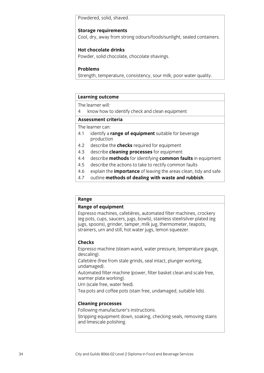Powdered, solid, shaved.

**Storage requirements**<br>Cool, dry, away from strong odours/foods/sunlight, sealed containers. Cool, dry, away from strong odours/foods/sunlight, sealed containers.

### **Hot chocolate drinks**

Powder, solid chocolate, chocolate shavings. Powder, solid chocolate, chocolate shavings.

### **Problems**

Strength, temperature, consistency, sour milk, poor water quality.  $\frac{1}{\sqrt{2}}$  , the poor water  $\frac{1}{\sqrt{2}}$  , poor water  $\frac{1}{\sqrt{2}}$ 

## **Learning outcome**<br>The learner will:

4 know how to identify check and clean equipment

### Assessment criteria

The learner can:

- 4.1 identify a range of equipment suitable for beverage production
- 4.2 describe the **checks** required for equipment
- 4.3 describe **cleaning processes** for equipment
- 4.4 describe **methods** for identifying **common faults** in equipment
- 4.5 describe the actions to take to rectify common faults
- 4.6 explain the **importance** of leaving the areas clean, tidy and safe
- <sup>1</sup><br>4.7 explain the of dealing with waste and ruphich 4.7 outline **methods of dealing with waste and rubbish**.

## **Range**<br>**Range of equipment**

Espresso machines, cafetières, automated filter machines, crockery (eg pots, cups, saucers, jugs, bowls), stainless steel/silver plated (eg jugs, spoons), grinder, tamper, milk jug, thermometer, teapots, strainers, urn and still, hot water jugs, lemon squeezer. strainers, urn and still, how was generated by  $\frac{1}{2}$ 

### **Checks**

**Contacc**  $\frac{1}{2}$  descaling description was described water pressure, the steam gauge, the steam  $\frac{1}{2}$ descaling).<br>Cafetière (free from stale grinds, seal intact, plunger working,

undamaged).

Automated filter machine (power, filter basket clean and scale free, warmer plate working).

Urn (scale free, water feed).

Tea pots and coffee pots (stain free, undamaged, suitable lids).  $T_{\text{P}}$  and complete pots  $\frac{1}{2}$  and  $\frac{1}{2}$   $\frac{1}{2}$  and  $\frac{1}{2}$   $\frac{1}{2}$  and  $\frac{1}{2}$  and  $\frac{1}{2}$  and  $\frac{1}{2}$  and  $\frac{1}{2}$  and  $\frac{1}{2}$  and  $\frac{1}{2}$  and  $\frac{1}{2}$  and  $\frac{1}{2}$  and  $\frac{1}{2}$  and  $\frac{1$ 

**Cleaning processes**

Stripping equipment down, soaking, checking seals, removing stains stripping equipment down, some down, some seals, removing seals, removing seals, removing seals, removing stat<br>and limescale nolishing and limescale polishing.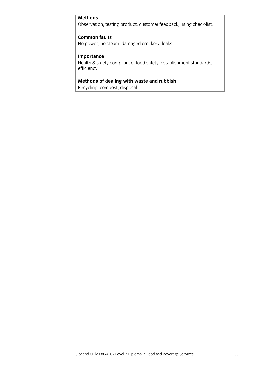### **Methods**

**Methods** Observation, testing product, customer feedback, using check-list.

**No nower** no ste  $\mathcal{N}$  power, no steam, damaged coroches  $\mathcal{N}$ 

**Importance**<br>Health & safety compliance, food safety, establishment standards, efficiency, food safety compliance, food safety, establishment standards, establishment standards, establishment standards,  $\frac{1}{2}$ efficiency.

**Methods of dealing with waste and rubbish**  $\overrightarrow{r}$  composition is a composition of  $\overrightarrow{r}$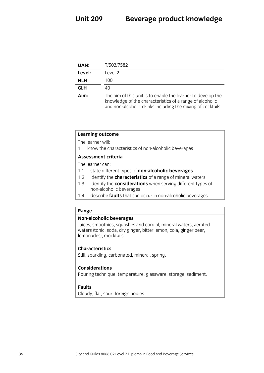| UAN:       | T/503/7582                                                                                                                                                                              |
|------------|-----------------------------------------------------------------------------------------------------------------------------------------------------------------------------------------|
| Level:     | Level 2                                                                                                                                                                                 |
| <b>NLH</b> | 100                                                                                                                                                                                     |
| <b>GLH</b> | 40                                                                                                                                                                                      |
| Aim:       | The aim of this unit is to enable the learner to develop the<br>knowledge of the characteristics of a range of alcoholic<br>and non-alcoholic drinks including the mixing of cocktails. |

and non-alcoholic drinks including the mixing of cocktails.

### **Learning outcome**<br>The learner will: 1 know the characteristics of non-alcoholic beverages  $\frac{1}{\sqrt{1 + \left( \frac{1}{\sqrt{1 + \left( \frac{1}{\sqrt{1 + \left( \frac{1}{\sqrt{1 + \left( \frac{1}{\sqrt{1 + \left( \frac{1}{\sqrt{1 + \left( \frac{1}{\sqrt{1 + \left( \frac{1}{\sqrt{1 + \left( \frac{1}{\sqrt{1 + \left( \frac{1}{\sqrt{1 + \left( \frac{1}{\sqrt{1 + \left( \frac{1}{\sqrt{1 + \left( \frac{1}{\sqrt{1 + \left( \frac{1}{\sqrt{1 + \left( \frac{1}{\sqrt{1 + \left( \frac{1}{\sqrt{1 + \left( \frac{1}{\sqrt{1 + \left$ The learner can: 1.1 state different types of non-alcoholic beverages 1.2 identify the **characteristics** of a range of mineral waters 1.3 identify the **considerations** when serving different types of non-alcoholic beverages ں<br>doccribo **faulte** that can

1.4 describe **faults** that can occur in non-alcoholic beverages.

**Unit 209** 

## **Range**<br>**Non-alcoholic beverages**

Juices, smoothies, squashes and cordial, mineral waters, aerated waters (tonic, soda, dry ginger, bitter lemon, cola, ginger beer, lemonades), mocktails. lemonades), mocktails.

**Chill** contribute ca  $S_{\text{S}}$ , sparkling, mineral, mineral, mineral, mineral, mineral, mineral, mineral, mineral, mineral, mineral, mineral, mineral, mineral, mineral, mineral, mineral, mineral, mineral, mineral, mineral, mineral, mineral, m

### **Considerations**

**Douring tochnique** Pouring technique, temperature, glassware, storage, sediment.

### **Faults**

**Faults** Cloudy, flat, sources, flat, sources, flat, sources, flat, sources, flat, sources, flat, sources, flat, sources, flat, sources, flat, sources, flat, sources, flat, sources, flat, sources, flat, sources, flat, sources, flat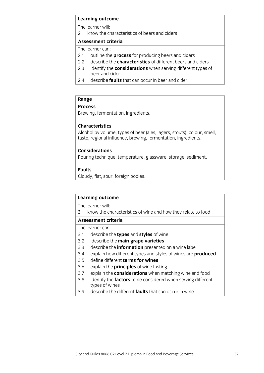## **Learning outcome**<br>The learner will:

2 know the characteristics of beers and ciders

### Assessment criteria

The learner can<sup>-</sup>

- 2.1 outline the **process** for producing beers and ciders
- 2.2 describe the **characteristics** of different beers and ciders
- 2.3 identify the **considerations** when serving different types of beer and cider
- describe **faults** that can occur in beer and cider.  $2.4$ 2.4 describe **faults** that can occur in beer and cider.

## **Range**

**Proving**  $\mathbf{b}$ , ingredients.

### **Characteristics**

Alcohol by volume, types of beer (ales, lagers, stouts), colour, smell, taste, regional influence, brewing, fermentation, ingredients. taste, regional influence, brewing, fermentation, ingredients.

### **Considerations**

**Douring techniqu** Pouring technique, temperature, glassware, storage, sediment.

### **Faults**

**Faults**  $\overline{\phantom{a}}$ , for  $\overline{\phantom{a}}$ ,  $\overline{\phantom{a}}$ ,  $\overline{\phantom{a}}$ 

## **Learning outcome**<br>The learner will:

3 know the characteristics of wine and how they relate to food 3 know the characteristics of wine and how they relate to food

The learner can:

- 3.1 describe the types and styles of wine
- 3.2 describe the **main grape varieties**
- 3.3 describe the **information** presented on a wine label
- 3.4 explain how different types and styles of wines are **produced**
- 3.5 define different **terms for wines**
- 3.6 explain the **principles** of wine tasting
- 3.7 explain the **considerations** when matching wine and food
- 3.8 identify the **factors** to be considered when serving different types of wines
- describe the different **faults** that can occur in wine. 3.9 describe the different **faults** that can occur in wine.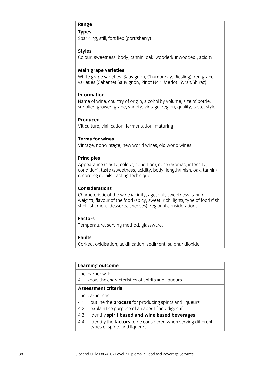Sparkling, still, fortified (port/sherry).  $\mathbf{S}_k$  still, fortified (portfolio  $\mathbf{S}_k$ ).

### **Styles**

Colour, sweetness, body, tannin, oak (wooded/unwooded), acidity. Colour, sweetness, body, tannin, oak (wooded/unwooded), acidity.

**Main grape varieties**<br>White grape varieties (Sauvignon, Chardonnay, Riesling), red grape varieties (Cabernet Sauvignon, Pinot Noir, Merlot, Syrah/Shiraz). varieties (Cabernet Sauvignon, Pinot Noir, Merlot, Syrah/Shiraz).

### **Information**

Name of wine, country of origin, alcohol by volume, size of bottle, supplier, grower, grape, variety, vintage, region, quality, taste, style. supplier, grower, grape, variety, vintage, region, quality, taste, style.

### Produced

Viticulture, vinification, fermentation, maturing. Viticulture, vinification, fermentation, maturing.

### **Terms for wines**

Vintage, non-vintage, new world wines, old world wines.  $\mathcal{O}(\mathcal{N})$ 

### **Principles**

Appearance (clarity, colour, condition), nose (aromas, intensity, condition), taste (sweetness, acidity, body, length/finish, oak, tannin) recording details, tasting technique. recording details, tasting technique.

### **Considerations**

Characteristic of the wine (acidity, age, oak, sweetness, tannin, weight), flavour of the food (spicy, sweet, rich, light), type of food (fish, shellfish, meat, desserts, cheeses), regional considerations. shellfish, meats  $\alpha$ , cheeses), regional considerations.

### **Factors**

Temperature, serving method, glassware. Temperature, serving method, glassware.

### **Faults**

Corked, oxidisation, acidification, sediment, sulphur dioxide. Corked, oxidisation, acidification, sediment, sulphur dioxide.

| Learning outcome    |                                                                                                      |  |
|---------------------|------------------------------------------------------------------------------------------------------|--|
|                     | The learner will:                                                                                    |  |
| 4                   | know the characteristics of spirits and liqueurs                                                     |  |
| Assessment criteria |                                                                                                      |  |
|                     | The learner can:                                                                                     |  |
| 4.1                 | outline the <b>process</b> for producing spirits and liqueurs                                        |  |
| 4.2                 | explain the purpose of an aperitif and digestif                                                      |  |
| 4.3                 | identify spirit based and wine based beverages                                                       |  |
| 4.4                 | identify the <b>factors</b> to be considered when serving different<br>tynes of spirits and liqueurs |  |

 $\frac{1}{\sqrt{2}}$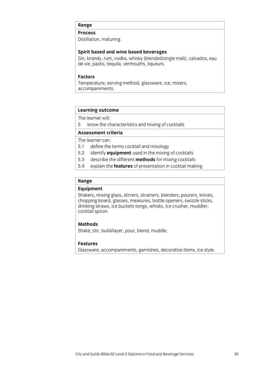**Distillation**, maturing. Distillation, maturing.

**Spirit based and wine based beverages**<br>Gin, brandy, rum, vodka, whisky (blended/single malt), calvados, eau de vie, pastis, tequila, vermouths, liqueurs. de vie, pastis, tequila, vermouths, liqueurs.

### **Factors**

Temperature, serving method, glassware, ice, mixers, accompaniments. <u>accompanies to the companies of the companies of the companies of the companies of the companies of the compani</u>

## **Learning outcome**<br>The learner will:

5 know the characteristics and mixing of cocktails  $\frac{1}{\sqrt{1-\frac{1}{\sqrt{1-\frac{1}{\sqrt{1-\frac{1}{\sqrt{1-\frac{1}{\sqrt{1-\frac{1}{\sqrt{1-\frac{1}{\sqrt{1-\frac{1}{\sqrt{1-\frac{1}{\sqrt{1-\frac{1}{\sqrt{1-\frac{1}{\sqrt{1-\frac{1}{\sqrt{1-\frac{1}{\sqrt{1-\frac{1}{\sqrt{1-\frac{1}{\sqrt{1-\frac{1}{\sqrt{1-\frac{1}{\sqrt{1-\frac{1}{\sqrt{1-\frac{1}{\sqrt{1-\frac{1}{\sqrt{1-\frac{1}{\sqrt{1-\frac{1}{\sqrt{1-\frac{1}{\sqrt{1-\frac{1}{\sqrt{1-\frac{1$ 

The learner can:

- 5.1 define the terms cocktail and mixology
- 5.2 identify **equipment** used in the mixing of cocktails
- 5.3 describe the different **methods** for mixing cocktails
- 5.4 explain the **features** of presentation in cocktail making. 5.4 explain the **features** of presentation in cocktail making.

## Range<br> **Equipment**

Shakers, mixing glass, stirrers, strainers, blenders, pourers, knives, chopping board, glasses, measures, bottle openers, swizzle sticks, drinking straws, ice buckets tongs, whisks, ice crusher, muddler, cocktail spoon. cocktail spoon.

### **Methods**

Shake, stir, build/layer, pour, blend, muddle. Shake, stir, build/layer, pour, blend, muddle.

### **Features**

Glassware, accompaniments, garnishes, decorative items, ice style.  $\frac{1}{\sqrt{2}}$  Glass ware, according items, i.e.,  $\frac{1}{\sqrt{2}}$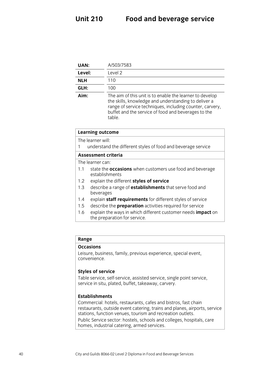| UAN:       | A/503/7583                                                                                                                                                                                                                                    |
|------------|-----------------------------------------------------------------------------------------------------------------------------------------------------------------------------------------------------------------------------------------------|
| Level:     | Level 2                                                                                                                                                                                                                                       |
| <b>NLH</b> | 110                                                                                                                                                                                                                                           |
| GLH:       | 100                                                                                                                                                                                                                                           |
| Aim:       | The aim of this unit is to enable the learner to develop<br>the skills, knowledge and understanding to deliver a<br>range of service techniques, including counter, carvery,<br>buffet and the service of food and beverages to the<br>table. |

| <b>Learning outcome</b>                                                                             |  |
|-----------------------------------------------------------------------------------------------------|--|
| The learner will:                                                                                   |  |
| understand the different styles of food and beverage service<br>1                                   |  |
| Assessment criteria                                                                                 |  |
| The learner can:                                                                                    |  |
| state the <b>occasions</b> when customers use food and beverage<br>1.1<br>establishments            |  |
| explain the different styles of service<br>$1.2^{\circ}$                                            |  |
| describe a range of <b>establishments</b> that serve food and<br>1.3<br>beverages                   |  |
| explain staff requirements for different styles of service<br>1.4                                   |  |
| describe the <b>preparation</b> activities required for service<br>1.5                              |  |
| explain the ways in which different customer needs impact on<br>1.6<br>the preparation for service. |  |
|                                                                                                     |  |

Leisure, business, family, previous experience, special event, convenience. convenience.

**Styles of service**<br>Table service, self-service, assisted service, single point service, service in situ, plated, buffet, takeaway, carvery. service in situ, plated, buffet, take  $\eta$ , carrying the situation of  $\eta$ 

**Establishments**<br>Commercial: hotels, restaurants, cafes and bistros, fast chain restaurants, outside event catering, trains and planes, airports, service stations, function venues, tourism and recreation outlets.

Public Service sector: hostels, schools and colleges, hospitals, care  $P$  homes industrial catering armed services  $\frac{1}{\sqrt{2}}$  in the services of  $\frac{1}{\sqrt{2}}$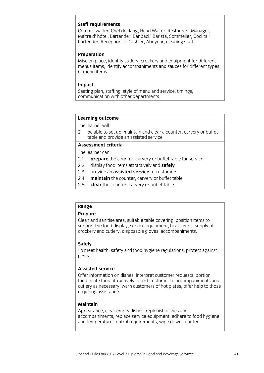**Staff requirements**<br>Commis waiter, Chef de Rang, Head Waiter, Restaurant Manager, Maître d' hôtel, Bartender, Bar back, Barista, Sommelier, Cocktail bartender, Receptionist, Cashier, Aboyeur, cleaning staff. bartender, Receptionist, Cashier, Aboyeur, cleaning staff.

### Preparation

Mise en place, identify cutlery, crockery and equipment for different menus items, identify accompaniments and sauces for different types of menu items.

**Impact**<br>Seating plan, staffing, style of menu and service, timings, communication with other departments. communication with other departments. The communication with our control of the communication of the communication of the communication of the communication of the communication of the communication of the communication of

## **Learning outcome**<br>The learner will:

2 be able to set up, maintain and clear a counter, carvery or buffet table and provide an assisted service

### Assessment criteria

The learner can:

- 2.1 **prepare** the counter, carvery or buffet table for service
- 2.2 display food items attractively and **safely**
- 2.3 provide an **assisted service** to customers
- 2.4 **maintain** the counter, carvery or buffet table
- 2.5 **clear** the counter, carvery or buffet table. 2.5 **clear** the counter, carvery or buffet table.

## **Range**

Clean and sanitise area, suitable table covering, position items to support the food display, service equipment, heat lamps, supply of crockery and cutlery, disposable gloves, accompaniments. crockery and cutlery, disposable gloves, accompanies in

**Safely**<br>To meet health, safety and food hygiene regulations, protect against  $T_{\text{max}}$ pests.

### **Assisted service**

Offer information on dishes, interpret customer requests, portion food, plate food attractively, direct customer to accompaniments and cutlery as necessary, warn customers of hot plates, offer help to those requiring assistance. requiring assistance.

### **Maintain**

Appearance, clear empty dishes, replenish dishes and accompaniments, replace service equipment, adhere to food hygiene and temperature control requirements, wipe down counter. and temperature control requirements, wipe down counter.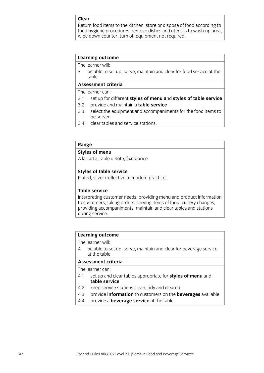### Clear

Return food items to the kitchen, store or dispose of food according to food hygiene procedures, remove dishes and utensils to wash-up area, wipe down counter, turn off equipment not required. with the down counter, the down counter, the counter, the counter, the counter,  $\frac{1}{2}$ 

## **Learning outcome**<br>The learner will:

3 be able to set up, serve, maintain and clear for food service at the  $\mathsf{table}$ 

### Assessment criteria

### The learner can:

- 3.1 set up for different styles of menu and styles of table service
- 3.2 provide and maintain a **table service**
- 3.3 select the equipment and accompaniments for the food items to be served
- $3.4$ clear tables and service stations. 3.4 clear tables and service stations. The series of the service stations.

## **Range**<br>**Styles of menu**

A la carte, table d'hôte, fixed price.  $\mathcal{A}$  is taken price. The cartesis price  $\mathcal{A}$ 

**Styles of table service**<br>Plated, silver (reflective of modern practice). Plated, silver (reflective of modern practice).

### **Table service**

Interpreting customer needs, providing menu and product information to customers, taking orders, serving items of food, cutlery changes, providing accompaniments, maintain and clear tables and stations provided accompaniments, maintain and companions and companions and stations and stations and stations and stations and stations and stations and stations and stations and stations and stations and stations and stations an  $\frac{d}{dx}$ 

## **Learning outcome**<br>The learner will:

4 be able to set up, serve, maintain and clear for beverage service at the table

### Assessment criteria

The learner can:

- 4.1 set up and clear tables appropriate for **styles of menu** and table service
- keep service stations clean, tidy and cleared  $4.2$
- 4.3 provide **information** to customers on the **beverages** available
- 4.4 provide a **beverage service** at the table. 4.4 provide a **beverage service** at the table.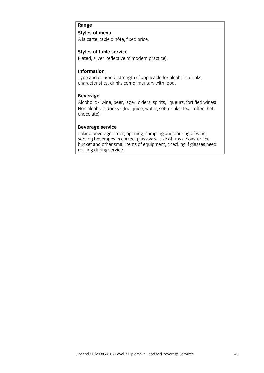## **Range**<br>**Styles of menu**

A la carte, table d'hôte, fixed price. A la carte, table d'hôte, fixed price.

**Styles of table service**<br>Plated, silver (reflective of modern practice). Plated, silver (reflective of modern practice).

### **Information**

Type and or brand, strength (if applicable for alcoholic drinks) characteristics, drinks complimentary with food. characteristics, drinks complimentary with food.

Beverage<br>Alcoholic - (wine, beer, lager, ciders, spirits, liqueurs, fortified wines). Non alcoholic drinks - (fruit juice, water, soft drinks, tea, coffee, hot chocolate). chocolate).

**Beverage service**<br>Taking beverage order, opening, sampling and pouring of wine, serving beverages in correct glassware, use of trays, coaster, ice bucket and other small items of equipment, checking if glasses need refilling during service.  $\frac{1}{2}$  during service.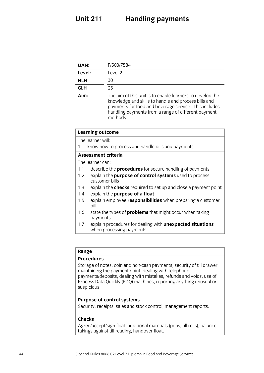### **Unit 211 Unit 211 Handling payments**

| UAN:       | F/503/7584                                                                                                                                                                                                                                    |
|------------|-----------------------------------------------------------------------------------------------------------------------------------------------------------------------------------------------------------------------------------------------|
| Level:     | Level <sub>2</sub>                                                                                                                                                                                                                            |
| <b>NLH</b> | 30                                                                                                                                                                                                                                            |
| <b>GLH</b> | 25                                                                                                                                                                                                                                            |
| Aim:       | The aim of this unit is to enable learners to develop the<br>knowledge and skills to handle and process bills and<br>payments for food and beverage service. This includes<br>handling payments from a range of different payment<br>methods. |

| <b>Learning outcome</b>                                                               |  |
|---------------------------------------------------------------------------------------|--|
| The learner will:                                                                     |  |
| know how to process and handle bills and payments                                     |  |
| Assessment criteria                                                                   |  |
| The learner can:                                                                      |  |
| describe the <b>procedures</b> for secure handling of payments                        |  |
| explain the purpose of control systems used to process<br>customer bills              |  |
| explain the <b>checks</b> required to set up and close a payment point                |  |
| explain the purpose of a float                                                        |  |
| explain employee responsibilities when preparing a customer<br>bill                   |  |
| state the types of <b>problems</b> that might occur when taking<br>payments           |  |
| explain procedures for dealing with unexpected situations<br>when processing payments |  |
|                                                                                       |  |

## Range<br>**Procedures**

suspicious.

Storage of notes, coin and non-cash payments, security of till drawer, maintaining the payment point, dealing with telephone payments/deposits, dealing with mistakes, refunds and voids, use of payments. Deposits, deposited with mistakes, refunds and the process Data Quickly (PDO) machines, reporting anything unusual or  $\sum_{i=1}^n a_i$  and  $\sum_{i=1}^n a_i$  and  $\sum_{i=1}^n a_i$  and  $\sum_{i=1}^n a_i$  and  $\sum_{i=1}^n a_i$  and  $\sum_{i=1}^n a_i$  and  $\sum_{i=1}^n a_i$  and  $\sum_{i=1}^n a_i$  and  $\sum_{i=1}^n a_i$  and  $\sum_{i=1}^n a_i$  and  $\sum_{i=1}^n a_i$  and  $\sum_{i=1}^n a_i$  and  $\sum_{i$ 

**Purpose of control systems**  $S_{\text{S}}$  receipts, sales and stock control, management reports.

**Checks**<br>Agree/accept/sign float, additional materials (pens, till rolls), balance Agreef accept fign from, additional materials (pens, through, balance  $\frac{1}{2}$  reading, has till reading, has the float of  $\frac{1}{2}$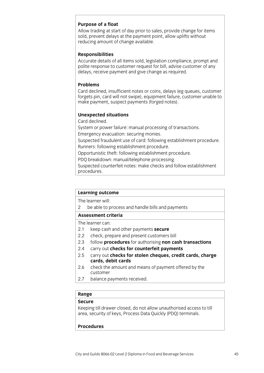### Purpose of a float

Allow trading at start of day prior to sales, provide change for items sold, prevent delays at the payment point, allow uplifts without reducing amount of change available. reducing amount of change available.

### **Responsibilities**

Accurate details of all items sold, legislation compliance, prompt and polite response to customer request for bill, advise customer of any delays, receive payment and give change as required. delays receive payment and give change  $\rho$ 

### **Problems**

Card declined, insufficient notes or coins, delays (eg queues, customer forgets pin, card will not swipe), equipment failure, customer unable to make payment, suspect payments (forged notes). make payment, suspect payments (forged notes).

## **Unexpected situations**

System or power failure: manual processing of transactions. Emergency evacuation: securing monies.

Suspected fraudulent use of card: following establishment procedure. Runners: following establishment procedure.

Opportunistic theft: following establishment procedure.

PDQ breakdown: manual/telephone processing.

Suspected counterfeit notes: make checks and follow establishment. procedures. <u>procedures.</u>

## **Learning outcome**<br>The learner will:

2 be able to process and handle bills and payments  $\frac{1}{2}$  be able to process and payments and payments and payments and payments and payments and payments and payments and payments are  $\frac{1}{2}$ 

The learner can:

- 2.1  $\;$  keep cash and other payments secure
- 2.2 check, prepare and present customers bill
- 2.3 follow procedures for authorising non cash transactions
- 2.4 carry out **checks for counterfeit payments**
- 2.5 carry out **checks for stolen cheques, credit cards, charge** cards, debit cards
- $2.6$ check the amount and means of payment offered by the customer
- $2.7$ balance payments received.  $2.7 p<sub>p</sub>$  balance payments received.

## **Range**

Keeping till drawer closed, do not allow unauthorised access to till area, security of keys, Process Data Quickly (PDQ) terminals. are given by  $\mathcal{L}_{\mathcal{F}}$  denotes Data  $\mathcal{L}_{\mathcal{F}}$  Data  $\mathcal{L}_{\mathcal{F}}$  and  $\mathcal{L}_{\mathcal{F}}$  terminals.

### **Procedures Procedures**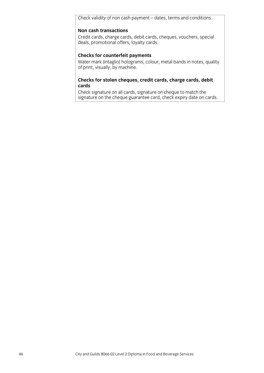Check validity of non cash payment – dates, terms and conditions.

### **Non cash transactions**

Credit cards, charge cards, debit cards, cheques, vouchers, special deals, promotional offers, loyalty cards. deals, promotional offers, loyalty cards.

**Checks for counterfeit payments**<br>
Water mark (intaglio) holograms, colour, metal bands in notes, quality of print, visually, by machine.  $\mathbf{v}$  print, visually, by matrix  $\mathbf{v}$ 

### **Checks for stolen cheques, credit cards, charge cards, debit cards**<br>Check signature on all cards, signature on cheque to match the

signature on the cheque guarantee card, check expiry date on cards.  $\frac{1}{2}$  become guarantee card, cheque guarantee cards. Cheque guarantee cards. Cheque guarantee cards.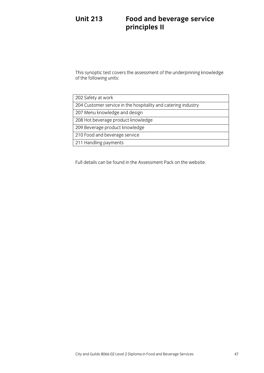### **Unit 213 Unit 213 Service Service Service Service Service Service Service Service Service Service Service Service Service S principles II**

 $\frac{1}{2}$  of the following units: of the following units:

| 202 Safety at work                                            |
|---------------------------------------------------------------|
| 204 Customer service in the hospitality and catering industry |
| 207 Menu knowledge and design                                 |
| 208 Hot beverage product knowledge                            |
| 209 Beverage product knowledge                                |
| 210 Food and beverage service                                 |
| 211 Handling payments                                         |
|                                                               |

Full details can be found in the Assessment Pack on the  $\mathcal{L}_{\mathcal{P}}$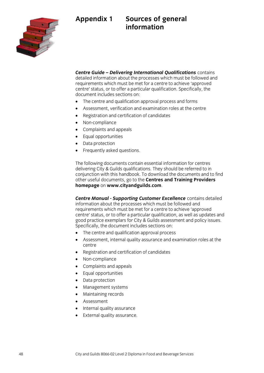



**Centre Guide – Delivering International Qualifications** contains detailed information about the processes which must be followed and requirements which must be met for a centre to achieve 'approved centre' status, or to offer a particular qualification. Specifically, the document includes sections on:

- The centre and qualification approval process and forms
- Assessment, verification and examination roles at the centre<br>• Registration and certification of candidates
- Registration and certification of candidates<br>• Non-compliance
- Non-compliance<br>• Complaints and a
- Complaints and appeals<br>• Equal opportunities
- Equal opportunities
- Data protection<br>• Frequently aske
- Frequently asked questions.

The following documents contain essential information for centres delivering City & Guilds qualifications. They should be referred to in conjunction with this handbook. To download the documents and to find other useful documents, go to the Centres and Training Providers homepage on www.cityandguilds.com. **homepage** on **www.cityandguilds.com**.

**Centre Manual - Supporting Customer Excellence** contains detailed information about the processes which must be followed and requirements which must be met for a centre to achieve 'approved centre' status, or to offer a particular qualification, as well as updates and good practice exemplars for City & Guilds assessment and policy issues. Specifically, the document includes sections on:

- $\overrightarrow{B}$  The centre and qualification approval process
- Assessment, internal quality assurance and examination roles at the
- Registration and certification of candidates
- Non-compliance<br>• Complaints and a
- Complaints and appeals<br>• Fqual opportunities
- Equal opportunities<br>• Data protection
- Data protection<br>• Management sv
- Management systems<br>• Maintaining records
- Maintaining records<br>• Assessment
- Assessment
- Internal quality assurance
- External quality assurance.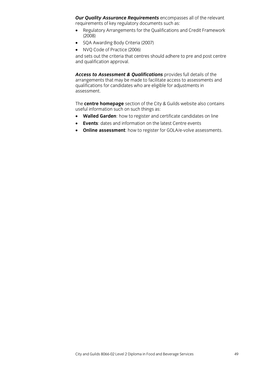**Our Quality Assurance Requirements** encompasses all of the relevant requirements of key regulatory documents such as:

- Regulatory Arrangements for the Qualifications and Credit Framework<br>(2008)
- SQA Awarding Body Criteria (2007)
- 

• NVQ Code of Practice (2006)<br>and sets out the criteria that centres should adhere to pre and post centre and qualification approval. and qualification approval.

Access to Assessment & Qualifications provides full details of the arrangements that may be made to facilitate access to assessments and qualifications for candidates who are eligible for adjustments in assessment.

The **centre homepage** section of the City & Guilds website also contains

- **Walled Garden**: how to register and certificate candidates on line
- **Events**: dates and information on the latest Centre events<br>  **Online assessment**: how to register for GOLA/e-volve ass
- **Online assessment:** how to register for GOLA/e-volve assessments.